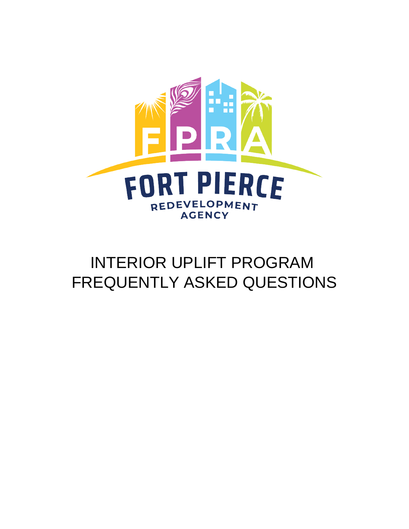

# INTERIOR UPLIFT PROGRAM FREQUENTLY ASKED QUESTIONS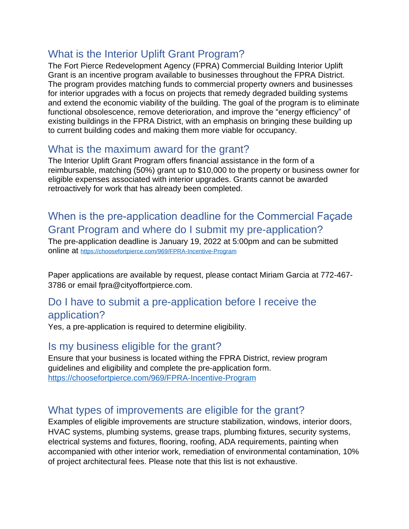# What is the Interior Uplift Grant Program?

The Fort Pierce Redevelopment Agency (FPRA) Commercial Building Interior Uplift Grant is an incentive program available to businesses throughout the FPRA District. The program provides matching funds to commercial property owners and businesses for interior upgrades with a focus on projects that remedy degraded building systems and extend the economic viability of the building. The goal of the program is to eliminate functional obsolescence, remove deterioration, and improve the "energy efficiency" of existing buildings in the FPRA District, with an emphasis on bringing these building up to current building codes and making them more viable for occupancy.

## What is the maximum award for the grant?

The Interior Uplift Grant Program offers financial assistance in the form of a reimbursable, matching (50%) grant up to \$10,000 to the property or business owner for eligible expenses associated with interior upgrades. Grants cannot be awarded retroactively for work that has already been completed.

# When is the pre-application deadline for the Commercial Façade Grant Program and where do I submit my pre-application?

The pre-application deadline is January 19, 2022 at 5:00pm and can be submitted online at <https://choosefortpierce.com/969/FPRA-Incentive-Program>

Paper applications are available by request, please contact Miriam Garcia at 772-467- 3786 or email fpra@cityoffortpierce.com.

#### Do I have to submit a pre-application before I receive the application?

Yes, a pre-application is required to determine eligibility.

#### Is my business eligible for the grant?

Ensure that your business is located withing the FPRA District, review program guidelines and eligibility and complete the pre-application form. <https://choosefortpierce.com/969/FPRA-Incentive-Program>

# What types of improvements are eligible for the grant?

Examples of eligible improvements are structure stabilization, windows, interior doors, HVAC systems, plumbing systems, grease traps, plumbing fixtures, security systems, electrical systems and fixtures, flooring, roofing, ADA requirements, painting when accompanied with other interior work, remediation of environmental contamination, 10% of project architectural fees. Please note that this list is not exhaustive.